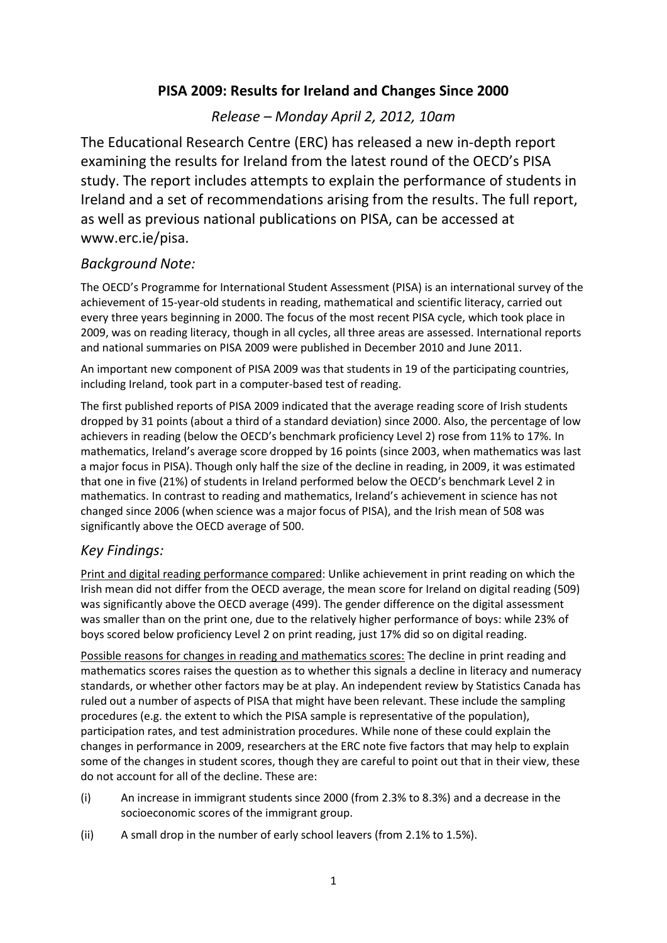# **PISA 2009: Results for Ireland and Changes Since 2000**

## *Release – Monday April 2, 2012, 10am*

The Educational Research Centre (ERC) has released a new in-depth report examining the results for Ireland from the latest round of the OECD's PISA study. The report includes attempts to explain the performance of students in Ireland and a set of recommendations arising from the results. The full report, as well as previous national publications on PISA, can be accessed at www.erc.ie/pisa.

### *Background Note:*

The OECD's Programme for International Student Assessment (PISA) is an international survey of the achievement of 15-year-old students in reading, mathematical and scientific literacy, carried out every three years beginning in 2000. The focus of the most recent PISA cycle, which took place in 2009, was on reading literacy, though in all cycles, all three areas are assessed. International reports and national summaries on PISA 2009 were published in December 2010 and June 2011.

An important new component of PISA 2009 was that students in 19 of the participating countries, including Ireland, took part in a computer-based test of reading.

The first published reports of PISA 2009 indicated that the average reading score of Irish students dropped by 31 points (about a third of a standard deviation) since 2000. Also, the percentage of low achievers in reading (below the OECD's benchmark proficiency Level 2) rose from 11% to 17%. In mathematics, Ireland's average score dropped by 16 points (since 2003, when mathematics was last a major focus in PISA). Though only half the size of the decline in reading, in 2009, it was estimated that one in five (21%) of students in Ireland performed below the OECD's benchmark Level 2 in mathematics. In contrast to reading and mathematics, Ireland's achievement in science has not changed since 2006 (when science was a major focus of PISA), and the Irish mean of 508 was significantly above the OECD average of 500.

### *Key Findings:*

Print and digital reading performance compared: Unlike achievement in print reading on which the Irish mean did not differ from the OECD average, the mean score for Ireland on digital reading (509) was significantly above the OECD average (499). The gender difference on the digital assessment was smaller than on the print one, due to the relatively higher performance of boys: while 23% of boys scored below proficiency Level 2 on print reading, just 17% did so on digital reading.

Possible reasons for changes in reading and mathematics scores: The decline in print reading and mathematics scores raises the question as to whether this signals a decline in literacy and numeracy standards, or whether other factors may be at play. An independent review by Statistics Canada has ruled out a number of aspects of PISA that might have been relevant. These include the sampling procedures (e.g. the extent to which the PISA sample is representative of the population), participation rates, and test administration procedures. While none of these could explain the changes in performance in 2009, researchers at the ERC note five factors that may help to explain some of the changes in student scores, though they are careful to point out that in their view, these do not account for all of the decline. These are:

- (i) An increase in immigrant students since 2000 (from 2.3% to 8.3%) and a decrease in the socioeconomic scores of the immigrant group.
- (ii) A small drop in the number of early school leavers (from 2.1% to 1.5%).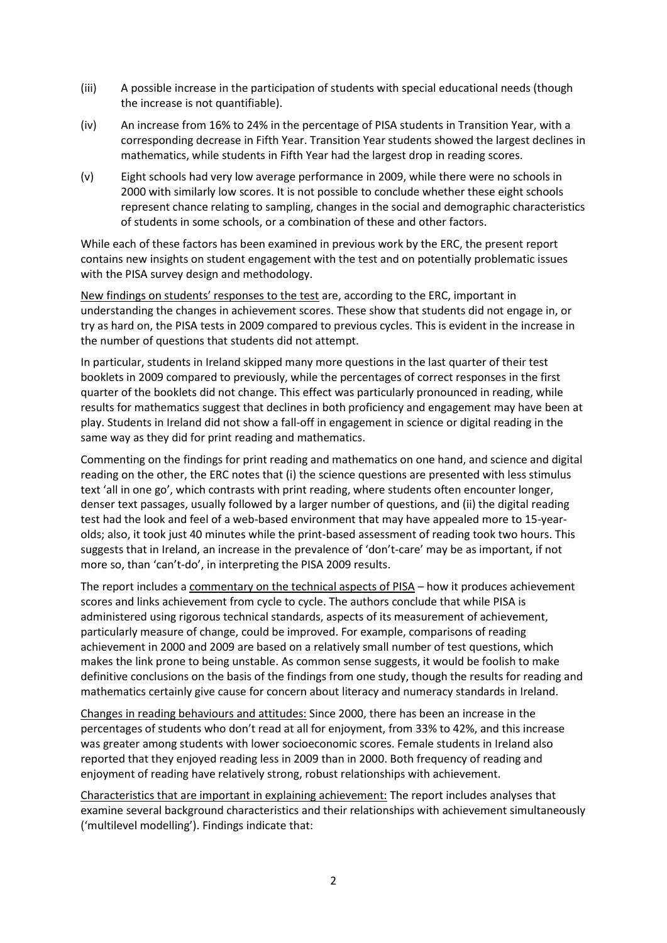- (iii) A possible increase in the participation of students with special educational needs (though the increase is not quantifiable).
- (iv) An increase from 16% to 24% in the percentage of PISA students in Transition Year, with a corresponding decrease in Fifth Year. Transition Year students showed the largest declines in mathematics, while students in Fifth Year had the largest drop in reading scores.
- (v) Eight schools had very low average performance in 2009, while there were no schools in 2000 with similarly low scores. It is not possible to conclude whether these eight schools represent chance relating to sampling, changes in the social and demographic characteristics of students in some schools, or a combination of these and other factors.

While each of these factors has been examined in previous work by the ERC, the present report contains new insights on student engagement with the test and on potentially problematic issues with the PISA survey design and methodology.

New findings on students' responses to the test are, according to the ERC, important in understanding the changes in achievement scores. These show that students did not engage in, or try as hard on, the PISA tests in 2009 compared to previous cycles. This is evident in the increase in the number of questions that students did not attempt.

In particular, students in Ireland skipped many more questions in the last quarter of their test booklets in 2009 compared to previously, while the percentages of correct responses in the first quarter of the booklets did not change. This effect was particularly pronounced in reading, while results for mathematics suggest that declines in both proficiency and engagement may have been at play. Students in Ireland did not show a fall-off in engagement in science or digital reading in the same way as they did for print reading and mathematics.

Commenting on the findings for print reading and mathematics on one hand, and science and digital reading on the other, the ERC notes that (i) the science questions are presented with less stimulus text 'all in one go', which contrasts with print reading, where students often encounter longer, denser text passages, usually followed by a larger number of questions, and (ii) the digital reading test had the look and feel of a web-based environment that may have appealed more to 15-yearolds; also, it took just 40 minutes while the print-based assessment of reading took two hours. This suggests that in Ireland, an increase in the prevalence of 'don't-care' may be as important, if not more so, than 'can't-do', in interpreting the PISA 2009 results.

The report includes a commentary on the technical aspects of PISA – how it produces achievement scores and links achievement from cycle to cycle. The authors conclude that while PISA is administered using rigorous technical standards, aspects of its measurement of achievement, particularly measure of change, could be improved. For example, comparisons of reading achievement in 2000 and 2009 are based on a relatively small number of test questions, which makes the link prone to being unstable. As common sense suggests, it would be foolish to make definitive conclusions on the basis of the findings from one study, though the results for reading and mathematics certainly give cause for concern about literacy and numeracy standards in Ireland.

Changes in reading behaviours and attitudes: Since 2000, there has been an increase in the percentages of students who don't read at all for enjoyment, from 33% to 42%, and this increase was greater among students with lower socioeconomic scores. Female students in Ireland also reported that they enjoyed reading less in 2009 than in 2000. Both frequency of reading and enjoyment of reading have relatively strong, robust relationships with achievement.

Characteristics that are important in explaining achievement: The report includes analyses that examine several background characteristics and their relationships with achievement simultaneously ('multilevel modelling'). Findings indicate that: